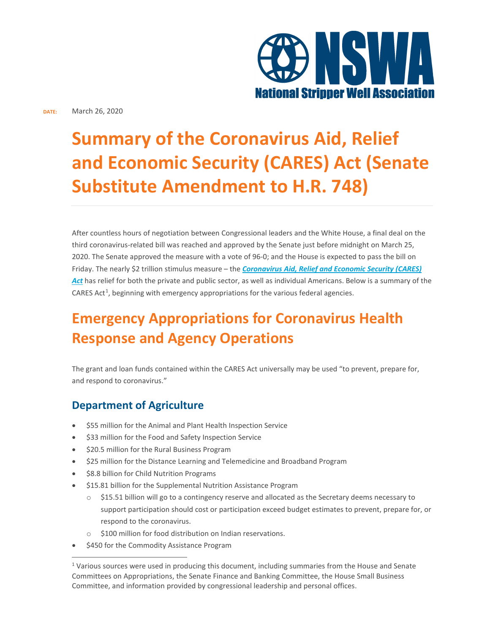

# **Summary of the Coronavirus Aid, Relief and Economic Security (CARES) Act (Senate Substitute Amendment to H.R. 748)**

After countless hours of negotiation between Congressional leaders and the White House, a final deal on the third coronavirus-related bill was reached and approved by the Senate just before midnight on March 25, 2020. The Senate approved the measure with a vote of 96-0; and the House is expected to pass the bill on Friday. The nearly \$2 trillion stimulus measure – the *Coronavirus Aid, Relief and Economic Security (CARES) Act* has relief for both the private and public sector, as well as individual Americans. Below is a summary of the CARES Act<sup>1</sup>, beginning with emergency appropriations for the various federal agencies.

## **Emergency Appropriations for Coronavirus Health Response and Agency Operations**

The grant and loan funds contained within the CARES Act universally may be used "to prevent, prepare for, and respond to coronavirus."

## **Department of Agriculture**

- \$55 million for the Animal and Plant Health Inspection Service
- \$33 million for the Food and Safety Inspection Service
- \$20.5 million for the Rural Business Program
- \$25 million for the Distance Learning and Telemedicine and Broadband Program
- \$8.8 billion for Child Nutrition Programs
- \$15.81 billion for the Supplemental Nutrition Assistance Program
	- o \$15.51 billion will go to a contingency reserve and allocated as the Secretary deems necessary to support participation should cost or participation exceed budget estimates to prevent, prepare for, or respond to the coronavirus.
	- \$100 million for food distribution on Indian reservations.
- \$450 for the Commodity Assistance Program

 $1$  Various sources were used in producing this document, including summaries from the House and Senate Committees on Appropriations, the Senate Finance and Banking Committee, the House Small Business Committee, and information provided by congressional leadership and personal offices.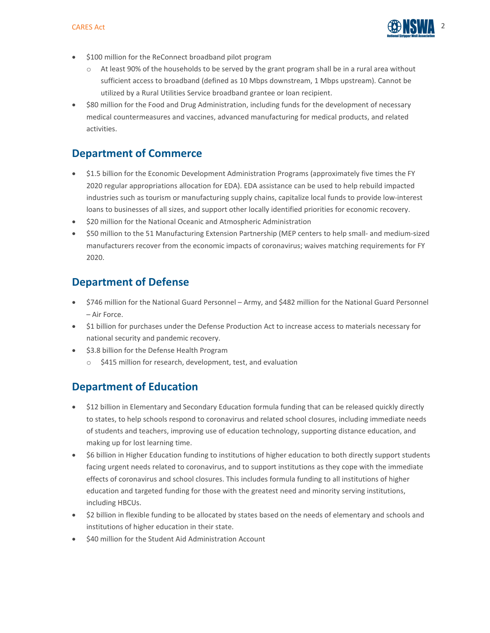

- \$100 million for the ReConnect broadband pilot program
	- o At least 90% of the households to be served by the grant program shall be in a rural area without sufficient access to broadband (defined as 10 Mbps downstream, 1 Mbps upstream). Cannot be utilized by a Rural Utilities Service broadband grantee or loan recipient.
- \$80 million for the Food and Drug Administration, including funds for the development of necessary medical countermeasures and vaccines, advanced manufacturing for medical products, and related activities.

## **Department of Commerce**

- \$1.5 billion for the Economic Development Administration Programs (approximately five times the FY 2020 regular appropriations allocation for EDA). EDA assistance can be used to help rebuild impacted industries such as tourism or manufacturing supply chains, capitalize local funds to provide low-interest loans to businesses of all sizes, and support other locally identified priorities for economic recovery.
- \$20 million for the National Oceanic and Atmospheric Administration
- \$50 million to the 51 Manufacturing Extension Partnership (MEP centers to help small- and medium-sized manufacturers recover from the economic impacts of coronavirus; waives matching requirements for FY 2020.

## **Department of Defense**

- \$746 million for the National Guard Personnel Army, and \$482 million for the National Guard Personnel – Air Force.
- \$1 billion for purchases under the Defense Production Act to increase access to materials necessary for national security and pandemic recovery.
- \$3.8 billion for the Defense Health Program
	- o \$415 million for research, development, test, and evaluation

## **Department of Education**

- \$12 billion in Elementary and Secondary Education formula funding that can be released quickly directly to states, to help schools respond to coronavirus and related school closures, including immediate needs of students and teachers, improving use of education technology, supporting distance education, and making up for lost learning time.
- \$6 billion in Higher Education funding to institutions of higher education to both directly support students facing urgent needs related to coronavirus, and to support institutions as they cope with the immediate effects of coronavirus and school closures. This includes formula funding to all institutions of higher education and targeted funding for those with the greatest need and minority serving institutions, including HBCUs.
- \$2 billion in flexible funding to be allocated by states based on the needs of elementary and schools and institutions of higher education in their state.
- \$40 million for the Student Aid Administration Account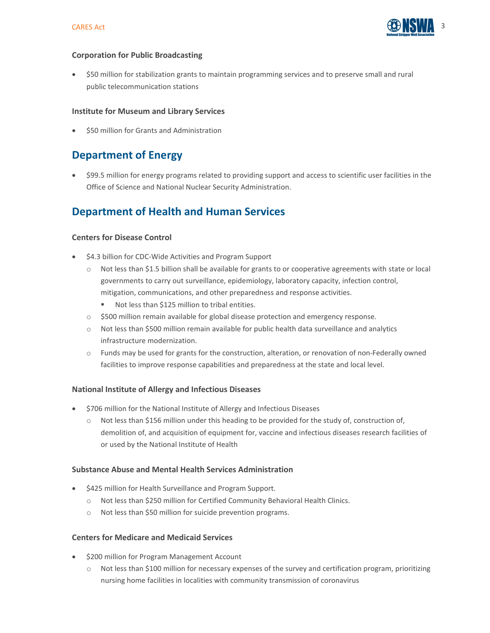

#### **Corporation for Public Broadcasting**

• \$50 million for stabilization grants to maintain programming services and to preserve small and rural public telecommunication stations

#### **Institute for Museum and Library Services**

\$50 million for Grants and Administration

## **Department of Energy**

• \$99.5 million for energy programs related to providing support and access to scientific user facilities in the Office of Science and National Nuclear Security Administration.

## **Department of Health and Human Services**

#### **Centers for Disease Control**

- \$4.3 billion for CDC-Wide Activities and Program Support
	- o Not less than \$1.5 billion shall be available for grants to or cooperative agreements with state or local governments to carry out surveillance, epidemiology, laboratory capacity, infection control, mitigation, communications, and other preparedness and response activities.
		- Not less than \$125 million to tribal entities.
	- o \$500 million remain available for global disease protection and emergency response.
	- o Not less than \$500 million remain available for public health data surveillance and analytics infrastructure modernization.
	- o Funds may be used for grants for the construction, alteration, or renovation of non-Federally owned facilities to improve response capabilities and preparedness at the state and local level.

#### **National Institute of Allergy and Infectious Diseases**

- \$706 million for the National Institute of Allergy and Infectious Diseases
	- o Not less than \$156 million under this heading to be provided for the study of, construction of, demolition of, and acquisition of equipment for, vaccine and infectious diseases research facilities of or used by the National Institute of Health

#### **Substance Abuse and Mental Health Services Administration**

- \$425 million for Health Surveillance and Program Support.
	- o Not less than \$250 million for Certified Community Behavioral Health Clinics.
	- o Not less than \$50 million for suicide prevention programs.

#### **Centers for Medicare and Medicaid Services**

- \$200 million for Program Management Account
	- o Not less than \$100 million for necessary expenses of the survey and certification program, prioritizing nursing home facilities in localities with community transmission of coronavirus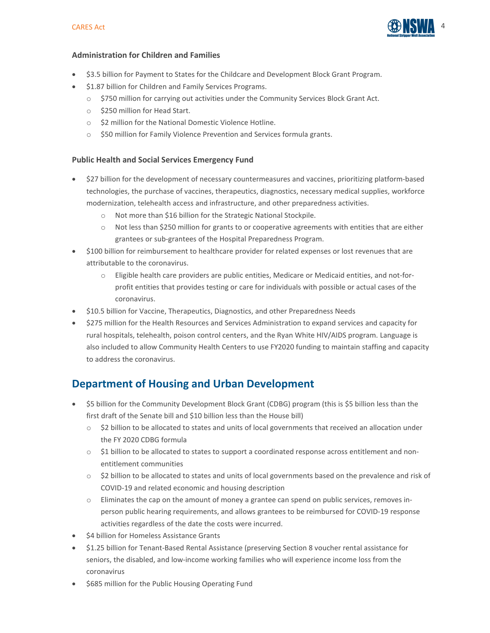

#### **Administration for Children and Families**

- \$3.5 billion for Payment to States for the Childcare and Development Block Grant Program.
- \$1.87 billion for Children and Family Services Programs.
	- o \$750 million for carrying out activities under the Community Services Block Grant Act.
	- o \$250 million for Head Start.
	- o \$2 million for the National Domestic Violence Hotline.
	- o \$50 million for Family Violence Prevention and Services formula grants.

#### **Public Health and Social Services Emergency Fund**

- \$27 billion for the development of necessary countermeasures and vaccines, prioritizing platform-based technologies, the purchase of vaccines, therapeutics, diagnostics, necessary medical supplies, workforce modernization, telehealth access and infrastructure, and other preparedness activities.
	- o Not more than \$16 billion for the Strategic National Stockpile.
	- o Not less than \$250 million for grants to or cooperative agreements with entities that are either grantees or sub-grantees of the Hospital Preparedness Program.
- \$100 billion for reimbursement to healthcare provider for related expenses or lost revenues that are attributable to the coronavirus.
	- o Eligible health care providers are public entities, Medicare or Medicaid entities, and not-forprofit entities that provides testing or care for individuals with possible or actual cases of the coronavirus.
- \$10.5 billion for Vaccine, Therapeutics, Diagnostics, and other Preparedness Needs
- \$275 million for the Health Resources and Services Administration to expand services and capacity for rural hospitals, telehealth, poison control centers, and the Ryan White HIV/AIDS program. Language is also included to allow Community Health Centers to use FY2020 funding to maintain staffing and capacity to address the coronavirus.

## **Department of Housing and Urban Development**

- \$5 billion for the Community Development Block Grant (CDBG) program (this is \$5 billion less than the first draft of the Senate bill and \$10 billion less than the House bill)
	- $\circ$  \$2 billion to be allocated to states and units of local governments that received an allocation under the FY 2020 CDBG formula
	- o \$1 billion to be allocated to states to support a coordinated response across entitlement and nonentitlement communities
	- $\circ$  \$2 billion to be allocated to states and units of local governments based on the prevalence and risk of COVID-19 and related economic and housing description
	- o Eliminates the cap on the amount of money a grantee can spend on public services, removes inperson public hearing requirements, and allows grantees to be reimbursed for COVID-19 response activities regardless of the date the costs were incurred.
- \$4 billion for Homeless Assistance Grants
- \$1.25 billion for Tenant-Based Rental Assistance (preserving Section 8 voucher rental assistance for seniors, the disabled, and low-income working families who will experience income loss from the coronavirus
- \$685 million for the Public Housing Operating Fund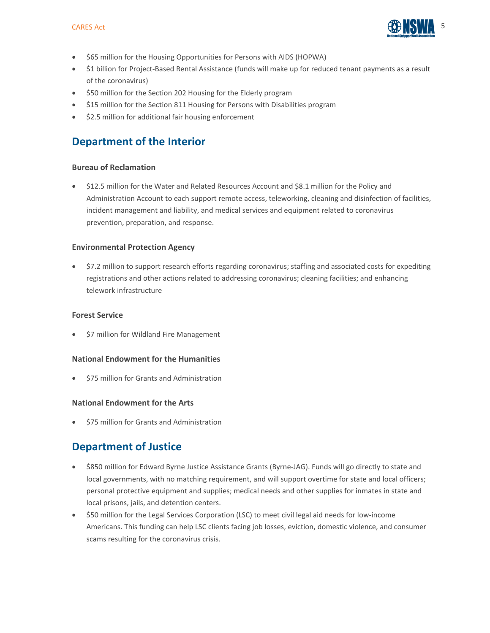

- \$65 million for the Housing Opportunities for Persons with AIDS (HOPWA)
- \$1 billion for Project-Based Rental Assistance (funds will make up for reduced tenant payments as a result of the coronavirus)
- \$50 million for the Section 202 Housing for the Elderly program
- \$15 million for the Section 811 Housing for Persons with Disabilities program
- \$2.5 million for additional fair housing enforcement

## **Department of the Interior**

#### **Bureau of Reclamation**

• \$12.5 million for the Water and Related Resources Account and \$8.1 million for the Policy and Administration Account to each support remote access, teleworking, cleaning and disinfection of facilities, incident management and liability, and medical services and equipment related to coronavirus prevention, preparation, and response.

#### **Environmental Protection Agency**

• \$7.2 million to support research efforts regarding coronavirus; staffing and associated costs for expediting registrations and other actions related to addressing coronavirus; cleaning facilities; and enhancing telework infrastructure

#### **Forest Service**

• \$7 million for Wildland Fire Management

#### **National Endowment for the Humanities**

• \$75 million for Grants and Administration

#### **National Endowment for the Arts**

• \$75 million for Grants and Administration

## **Department of Justice**

- \$850 million for Edward Byrne Justice Assistance Grants (Byrne-JAG). Funds will go directly to state and local governments, with no matching requirement, and will support overtime for state and local officers; personal protective equipment and supplies; medical needs and other supplies for inmates in state and local prisons, jails, and detention centers.
- \$50 million for the Legal Services Corporation (LSC) to meet civil legal aid needs for low-income Americans. This funding can help LSC clients facing job losses, eviction, domestic violence, and consumer scams resulting for the coronavirus crisis.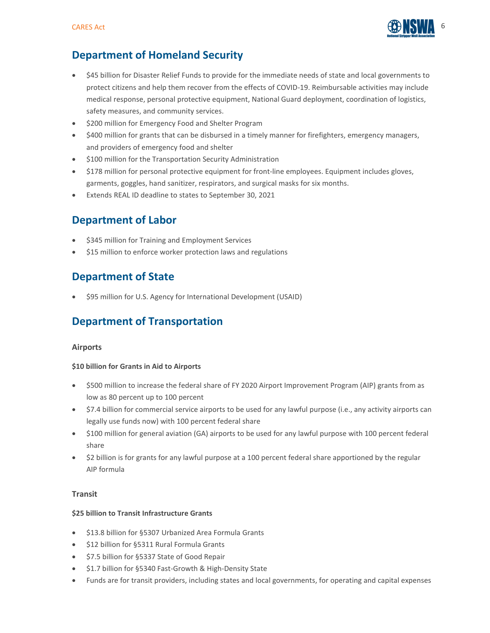

## **Department of Homeland Security**

- \$45 billion for Disaster Relief Funds to provide for the immediate needs of state and local governments to protect citizens and help them recover from the effects of COVID-19. Reimbursable activities may include medical response, personal protective equipment, National Guard deployment, coordination of logistics, safety measures, and community services.
- \$200 million for Emergency Food and Shelter Program
- \$400 million for grants that can be disbursed in a timely manner for firefighters, emergency managers, and providers of emergency food and shelter
- \$100 million for the Transportation Security Administration
- \$178 million for personal protective equipment for front-line employees. Equipment includes gloves, garments, goggles, hand sanitizer, respirators, and surgical masks for six months.
- Extends REAL ID deadline to states to September 30, 2021

## **Department of Labor**

- \$345 million for Training and Employment Services
- \$15 million to enforce worker protection laws and regulations

## **Department of State**

• \$95 million for U.S. Agency for International Development (USAID)

## **Department of Transportation**

#### **Airports**

#### **\$10 billion for Grants in Aid to Airports**

- \$500 million to increase the federal share of FY 2020 Airport Improvement Program (AIP) grants from as low as 80 percent up to 100 percent
- \$7.4 billion for commercial service airports to be used for any lawful purpose (i.e., any activity airports can legally use funds now) with 100 percent federal share
- \$100 million for general aviation (GA) airports to be used for any lawful purpose with 100 percent federal share
- \$2 billion is for grants for any lawful purpose at a 100 percent federal share apportioned by the regular AIP formula

#### **Transit**

#### **\$25 billion to Transit Infrastructure Grants**

- \$13.8 billion for §5307 Urbanized Area Formula Grants
- \$12 billion for §5311 Rural Formula Grants
- \$7.5 billion for §5337 State of Good Repair
- \$1.7 billion for §5340 Fast-Growth & High-Density State
- Funds are for transit providers, including states and local governments, for operating and capital expenses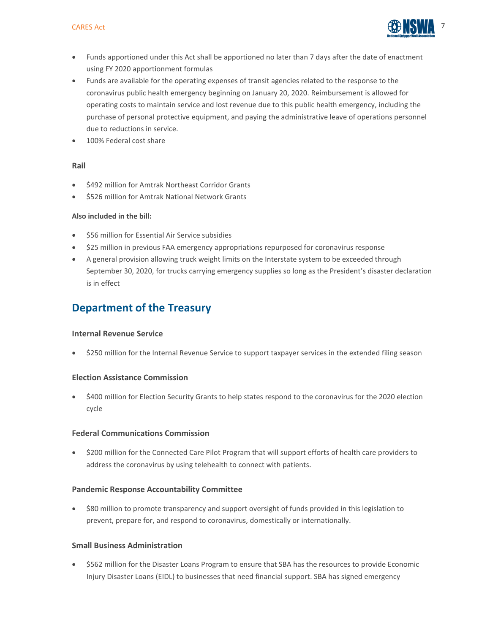

- Funds apportioned under this Act shall be apportioned no later than 7 days after the date of enactment using FY 2020 apportionment formulas
- Funds are available for the operating expenses of transit agencies related to the response to the coronavirus public health emergency beginning on January 20, 2020. Reimbursement is allowed for operating costs to maintain service and lost revenue due to this public health emergency, including the purchase of personal protective equipment, and paying the administrative leave of operations personnel due to reductions in service.
- 100% Federal cost share

#### **Rail**

- \$492 million for Amtrak Northeast Corridor Grants
- \$526 million for Amtrak National Network Grants

#### **Also included in the bill:**

- \$56 million for Essential Air Service subsidies
- \$25 million in previous FAA emergency appropriations repurposed for coronavirus response
- A general provision allowing truck weight limits on the Interstate system to be exceeded through September 30, 2020, for trucks carrying emergency supplies so long as the President's disaster declaration is in effect

### **Department of the Treasury**

#### **Internal Revenue Service**

• \$250 million for the Internal Revenue Service to support taxpayer services in the extended filing season

#### **Election Assistance Commission**

• \$400 million for Election Security Grants to help states respond to the coronavirus for the 2020 election cycle

#### **Federal Communications Commission**

• \$200 million for the Connected Care Pilot Program that will support efforts of health care providers to address the coronavirus by using telehealth to connect with patients.

#### **Pandemic Response Accountability Committee**

• \$80 million to promote transparency and support oversight of funds provided in this legislation to prevent, prepare for, and respond to coronavirus, domestically or internationally.

#### **Small Business Administration**

• \$562 million for the Disaster Loans Program to ensure that SBA has the resources to provide Economic Injury Disaster Loans (EIDL) to businesses that need financial support. SBA has signed emergency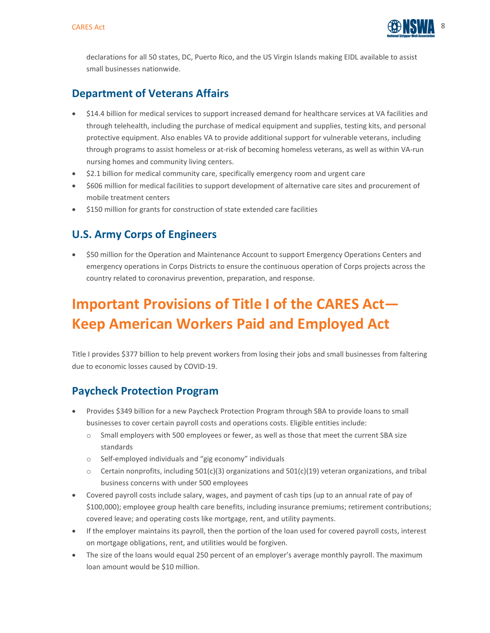

declarations for all 50 states, DC, Puerto Rico, and the US Virgin Islands making EIDL available to assist small businesses nationwide.

## **Department of Veterans Affairs**

- \$14.4 billion for medical services to support increased demand for healthcare services at VA facilities and through telehealth, including the purchase of medical equipment and supplies, testing kits, and personal protective equipment. Also enables VA to provide additional support for vulnerable veterans, including through programs to assist homeless or at-risk of becoming homeless veterans, as well as within VA-run nursing homes and community living centers.
- \$2.1 billion for medical community care, specifically emergency room and urgent care
- \$606 million for medical facilities to support development of alternative care sites and procurement of mobile treatment centers
- \$150 million for grants for construction of state extended care facilities

## **U.S. Army Corps of Engineers**

• \$50 million for the Operation and Maintenance Account to support Emergency Operations Centers and emergency operations in Corps Districts to ensure the continuous operation of Corps projects across the country related to coronavirus prevention, preparation, and response.

## **Important Provisions of Title I of the CARES Act— Keep American Workers Paid and Employed Act**

Title I provides \$377 billion to help prevent workers from losing their jobs and small businesses from faltering due to economic losses caused by COVID-19.

## **Paycheck Protection Program**

- Provides \$349 billion for a new Paycheck Protection Program through SBA to provide loans to small businesses to cover certain payroll costs and operations costs. Eligible entities include:
	- o Small employers with 500 employees or fewer, as well as those that meet the current SBA size standards
	- o Self-employed individuals and "gig economy" individuals
	- $\circ$  Certain nonprofits, including 501(c)(3) organizations and 501(c)(19) veteran organizations, and tribal business concerns with under 500 employees
- Covered payroll costs include salary, wages, and payment of cash tips (up to an annual rate of pay of \$100,000); employee group health care benefits, including insurance premiums; retirement contributions; covered leave; and operating costs like mortgage, rent, and utility payments.
- If the employer maintains its payroll, then the portion of the loan used for covered payroll costs, interest on mortgage obligations, rent, and utilities would be forgiven.
- The size of the loans would equal 250 percent of an employer's average monthly payroll. The maximum loan amount would be \$10 million.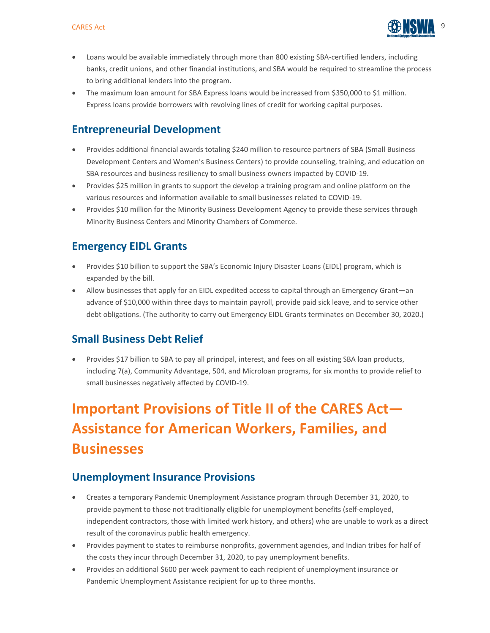

- Loans would be available immediately through more than 800 existing SBA-certified lenders, including banks, credit unions, and other financial institutions, and SBA would be required to streamline the process to bring additional lenders into the program.
- The maximum loan amount for SBA Express loans would be increased from \$350,000 to \$1 million. Express loans provide borrowers with revolving lines of credit for working capital purposes.

## **Entrepreneurial Development**

- Provides additional financial awards totaling \$240 million to resource partners of SBA (Small Business Development Centers and Women's Business Centers) to provide counseling, training, and education on SBA resources and business resiliency to small business owners impacted by COVID-19.
- Provides \$25 million in grants to support the develop a training program and online platform on the various resources and information available to small businesses related to COVID-19.
- Provides \$10 million for the Minority Business Development Agency to provide these services through Minority Business Centers and Minority Chambers of Commerce.

## **Emergency EIDL Grants**

- Provides \$10 billion to support the SBA's Economic Injury Disaster Loans (EIDL) program, which is expanded by the bill.
- Allow businesses that apply for an EIDL expedited access to capital through an Emergency Grant—an advance of \$10,000 within three days to maintain payroll, provide paid sick leave, and to service other debt obligations. (The authority to carry out Emergency EIDL Grants terminates on December 30, 2020.)

## **Small Business Debt Relief**

• Provides \$17 billion to SBA to pay all principal, interest, and fees on all existing SBA loan products, including 7(a), Community Advantage, 504, and Microloan programs, for six months to provide relief to small businesses negatively affected by COVID-19.

## **Important Provisions of Title II of the CARES Act— Assistance for American Workers, Families, and Businesses**

## **Unemployment Insurance Provisions**

- Creates a temporary Pandemic Unemployment Assistance program through December 31, 2020, to provide payment to those not traditionally eligible for unemployment benefits (self-employed, independent contractors, those with limited work history, and others) who are unable to work as a direct result of the coronavirus public health emergency.
- Provides payment to states to reimburse nonprofits, government agencies, and Indian tribes for half of the costs they incur through December 31, 2020, to pay unemployment benefits.
- Provides an additional \$600 per week payment to each recipient of unemployment insurance or Pandemic Unemployment Assistance recipient for up to three months.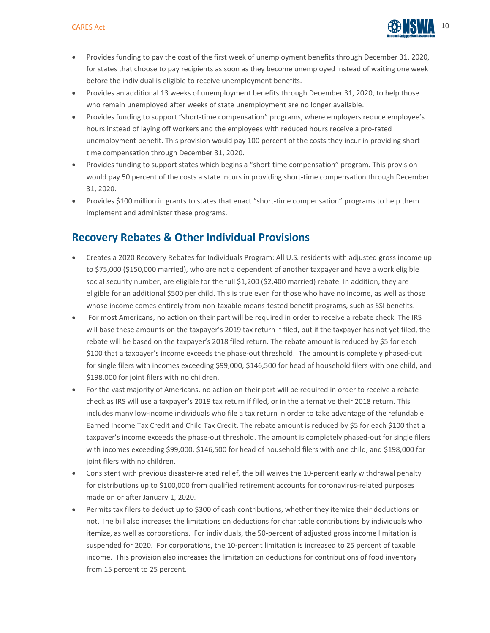

- Provides funding to pay the cost of the first week of unemployment benefits through December 31, 2020, for states that choose to pay recipients as soon as they become unemployed instead of waiting one week before the individual is eligible to receive unemployment benefits.
- Provides an additional 13 weeks of unemployment benefits through December 31, 2020, to help those who remain unemployed after weeks of state unemployment are no longer available.
- Provides funding to support "short-time compensation" programs, where employers reduce employee's hours instead of laying off workers and the employees with reduced hours receive a pro-rated unemployment benefit. This provision would pay 100 percent of the costs they incur in providing shorttime compensation through December 31, 2020.
- Provides funding to support states which begins a "short-time compensation" program. This provision would pay 50 percent of the costs a state incurs in providing short-time compensation through December 31, 2020.
- Provides \$100 million in grants to states that enact "short-time compensation" programs to help them implement and administer these programs.

## **Recovery Rebates & Other Individual Provisions**

- Creates a 2020 Recovery Rebates for Individuals Program: All U.S. residents with adjusted gross income up to \$75,000 (\$150,000 married), who are not a dependent of another taxpayer and have a work eligible social security number, are eligible for the full \$1,200 (\$2,400 married) rebate. In addition, they are eligible for an additional \$500 per child. This is true even for those who have no income, as well as those whose income comes entirely from non-taxable means-tested benefit programs, such as SSI benefits.
- For most Americans, no action on their part will be required in order to receive a rebate check. The IRS will base these amounts on the taxpayer's 2019 tax return if filed, but if the taxpayer has not yet filed, the rebate will be based on the taxpayer's 2018 filed return. The rebate amount is reduced by \$5 for each \$100 that a taxpayer's income exceeds the phase-out threshold. The amount is completely phased-out for single filers with incomes exceeding \$99,000, \$146,500 for head of household filers with one child, and \$198,000 for joint filers with no children.
- For the vast majority of Americans, no action on their part will be required in order to receive a rebate check as IRS will use a taxpayer's 2019 tax return if filed, or in the alternative their 2018 return. This includes many low-income individuals who file a tax return in order to take advantage of the refundable Earned Income Tax Credit and Child Tax Credit. The rebate amount is reduced by \$5 for each \$100 that a taxpayer's income exceeds the phase-out threshold. The amount is completely phased-out for single filers with incomes exceeding \$99,000, \$146,500 for head of household filers with one child, and \$198,000 for joint filers with no children.
- Consistent with previous disaster-related relief, the bill waives the 10-percent early withdrawal penalty for distributions up to \$100,000 from qualified retirement accounts for coronavirus-related purposes made on or after January 1, 2020.
- Permits tax filers to deduct up to \$300 of cash contributions, whether they itemize their deductions or not. The bill also increases the limitations on deductions for charitable contributions by individuals who itemize, as well as corporations. For individuals, the 50-percent of adjusted gross income limitation is suspended for 2020. For corporations, the 10-percent limitation is increased to 25 percent of taxable income. This provision also increases the limitation on deductions for contributions of food inventory from 15 percent to 25 percent.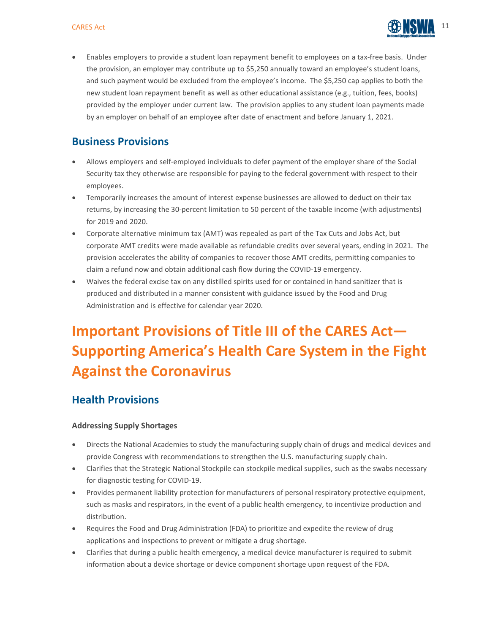

• Enables employers to provide a student loan repayment benefit to employees on a tax-free basis. Under the provision, an employer may contribute up to \$5,250 annually toward an employee's student loans, and such payment would be excluded from the employee's income. The \$5,250 cap applies to both the new student loan repayment benefit as well as other educational assistance (e.g., tuition, fees, books) provided by the employer under current law. The provision applies to any student loan payments made by an employer on behalf of an employee after date of enactment and before January 1, 2021.

## **Business Provisions**

- Allows employers and self-employed individuals to defer payment of the employer share of the Social Security tax they otherwise are responsible for paying to the federal government with respect to their employees.
- Temporarily increases the amount of interest expense businesses are allowed to deduct on their tax returns, by increasing the 30-percent limitation to 50 percent of the taxable income (with adjustments) for 2019 and 2020.
- Corporate alternative minimum tax (AMT) was repealed as part of the Tax Cuts and Jobs Act, but corporate AMT credits were made available as refundable credits over several years, ending in 2021. The provision accelerates the ability of companies to recover those AMT credits, permitting companies to claim a refund now and obtain additional cash flow during the COVID-19 emergency.
- Waives the federal excise tax on any distilled spirits used for or contained in hand sanitizer that is produced and distributed in a manner consistent with guidance issued by the Food and Drug Administration and is effective for calendar year 2020.

## **Important Provisions of Title III of the CARES Act— Supporting America's Health Care System in the Fight Against the Coronavirus**

## **Health Provisions**

#### **Addressing Supply Shortages**

- Directs the National Academies to study the manufacturing supply chain of drugs and medical devices and provide Congress with recommendations to strengthen the U.S. manufacturing supply chain.
- Clarifies that the Strategic National Stockpile can stockpile medical supplies, such as the swabs necessary for diagnostic testing for COVID-19.
- Provides permanent liability protection for manufacturers of personal respiratory protective equipment, such as masks and respirators, in the event of a public health emergency, to incentivize production and distribution.
- Requires the Food and Drug Administration (FDA) to prioritize and expedite the review of drug applications and inspections to prevent or mitigate a drug shortage.
- Clarifies that during a public health emergency, a medical device manufacturer is required to submit information about a device shortage or device component shortage upon request of the FDA.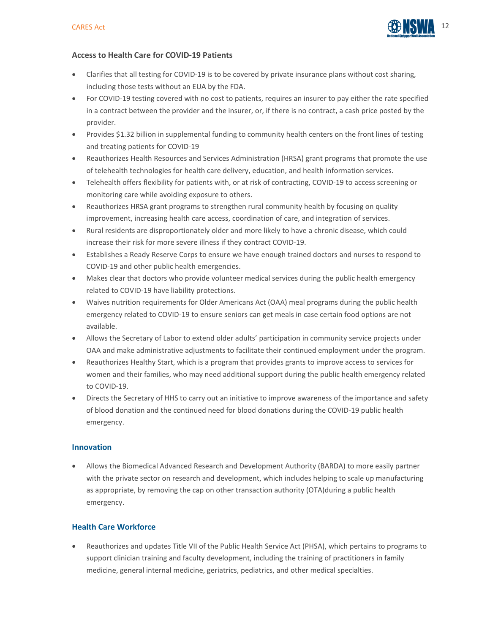

#### **Access to Health Care for COVID-19 Patients**

- Clarifies that all testing for COVID-19 is to be covered by private insurance plans without cost sharing, including those tests without an EUA by the FDA.
- For COVID-19 testing covered with no cost to patients, requires an insurer to pay either the rate specified in a contract between the provider and the insurer, or, if there is no contract, a cash price posted by the provider.
- Provides \$1.32 billion in supplemental funding to community health centers on the front lines of testing and treating patients for COVID-19
- Reauthorizes Health Resources and Services Administration (HRSA) grant programs that promote the use of telehealth technologies for health care delivery, education, and health information services.
- Telehealth offers flexibility for patients with, or at risk of contracting, COVID-19 to access screening or monitoring care while avoiding exposure to others.
- Reauthorizes HRSA grant programs to strengthen rural community health by focusing on quality improvement, increasing health care access, coordination of care, and integration of services.
- Rural residents are disproportionately older and more likely to have a chronic disease, which could increase their risk for more severe illness if they contract COVID-19.
- Establishes a Ready Reserve Corps to ensure we have enough trained doctors and nurses to respond to COVID-19 and other public health emergencies.
- Makes clear that doctors who provide volunteer medical services during the public health emergency related to COVID-19 have liability protections.
- Waives nutrition requirements for Older Americans Act (OAA) meal programs during the public health emergency related to COVID-19 to ensure seniors can get meals in case certain food options are not available.
- Allows the Secretary of Labor to extend older adults' participation in community service projects under OAA and make administrative adjustments to facilitate their continued employment under the program.
- Reauthorizes Healthy Start, which is a program that provides grants to improve access to services for women and their families, who may need additional support during the public health emergency related to COVID-19.
- Directs the Secretary of HHS to carry out an initiative to improve awareness of the importance and safety of blood donation and the continued need for blood donations during the COVID-19 public health emergency.

#### **Innovation**

• Allows the Biomedical Advanced Research and Development Authority (BARDA) to more easily partner with the private sector on research and development, which includes helping to scale up manufacturing as appropriate, by removing the cap on other transaction authority (OTA)during a public health emergency.

#### **Health Care Workforce**

• Reauthorizes and updates Title VII of the Public Health Service Act (PHSA), which pertains to programs to support clinician training and faculty development, including the training of practitioners in family medicine, general internal medicine, geriatrics, pediatrics, and other medical specialties.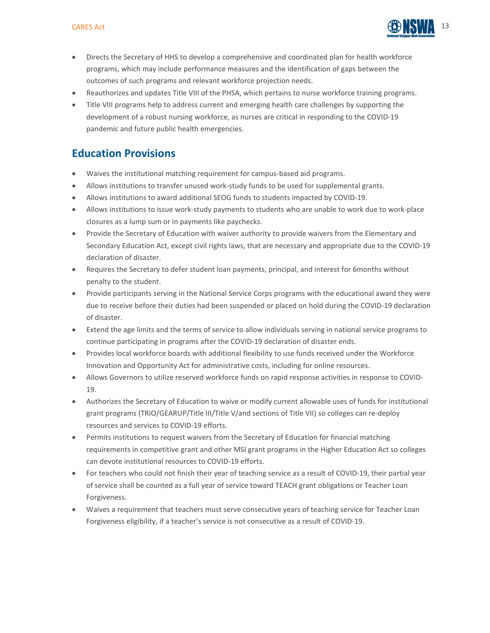

- Directs the Secretary of HHS to develop a comprehensive and coordinated plan for health workforce programs, which may include performance measures and the identification of gaps between the outcomes of such programs and relevant workforce projection needs.
- Reauthorizes and updates Title VIII of the PHSA, which pertains to nurse workforce training programs.
- Title VIII programs help to address current and emerging health care challenges by supporting the development of a robust nursing workforce, as nurses are critical in responding to the COVID-19 pandemic and future public health emergencies.

## **Education Provisions**

- Waives the institutional matching requirement for campus-based aid programs.
- Allows institutions to transfer unused work-study funds to be used for supplemental grants.
- Allows institutions to award additional SEOG funds to students impacted by COVID-19.
- Allows institutions to issue work-study payments to students who are unable to work due to work-place closures as a lump sum or in payments like paychecks.
- Provide the Secretary of Education with waiver authority to provide waivers from the Elementary and Secondary Education Act, except civil rights laws, that are necessary and appropriate due to the COVID-19 declaration of disaster.
- Requires the Secretary to defer student loan payments, principal, and interest for 6months without penalty to the student.
- Provide participants serving in the National Service Corps programs with the educational award they were due to receive before their duties had been suspended or placed on hold during the COVID-19 declaration of disaster.
- Extend the age limits and the terms of service to allow individuals serving in national service programs to continue participating in programs after the COVID-19 declaration of disaster ends.
- Provides local workforce boards with additional flexibility to use funds received under the Workforce Innovation and Opportunity Act for administrative costs, including for online resources.
- Allows Governors to utilize reserved workforce funds on rapid response activities in response to COVID-19.
- Authorizes the Secretary of Education to waive or modify current allowable uses of funds for institutional grant programs (TRIO/GEARUP/Title III/Title V/and sections of Title VII) so colleges can re-deploy resources and services to COVID-19 efforts.
- Permits institutions to request waivers from the Secretary of Education for financial matching requirements in competitive grant and other MSI grant programs in the Higher Education Act so colleges can devote institutional resources to COVID-19 efforts.
- For teachers who could not finish their year of teaching service as a result of COVID-19, their partial year of service shall be counted as a full year of service toward TEACH grant obligations or Teacher Loan Forgiveness.
- Waives a requirement that teachers must serve consecutive years of teaching service for Teacher Loan Forgiveness eligibility, if a teacher's service is not consecutive as a result of COVID-19.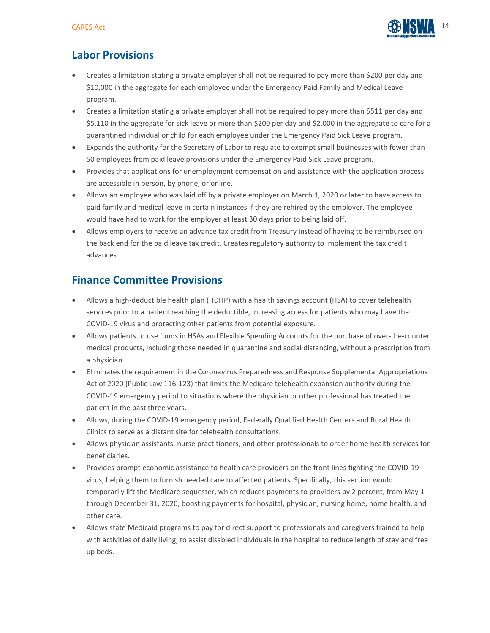

## **Labor Provisions**

- Creates a limitation stating a private employer shall not be required to pay more than \$200 per day and \$10,000 in the aggregate for each employee under the Emergency Paid Family and Medical Leave program.
- Creates a limitation stating a private employer shall not be required to pay more than \$511 per day and \$5,110 in the aggregate for sick leave or more than \$200 per day and \$2,000 in the aggregate to care for a quarantined individual or child for each employee under the Emergency Paid Sick Leave program.
- Expands the authority for the Secretary of Labor to regulate to exempt small businesses with fewer than 50 employees from paid leave provisions under the Emergency Paid Sick Leave program.
- Provides that applications for unemployment compensation and assistance with the application process are accessible in person, by phone, or online.
- Allows an employee who was laid off by a private employer on March 1, 2020 or later to have access to paid family and medical leave in certain instances if they are rehired by the employer. The employee would have had to work for the employer at least 30 days prior to being laid off.
- Allows employers to receive an advance tax credit from Treasury instead of having to be reimbursed on the back end for the paid leave tax credit. Creates regulatory authority to implement the tax credit advances.

## **Finance Committee Provisions**

- Allows a high-deductible health plan (HDHP) with a health savings account (HSA) to cover telehealth services prior to a patient reaching the deductible, increasing access for patients who may have the COVID-19 virus and protecting other patients from potential exposure.
- Allows patients to use funds in HSAs and Flexible Spending Accounts for the purchase of over-the-counter medical products, including those needed in quarantine and social distancing, without a prescription from a physician.
- Eliminates the requirement in the Coronavirus Preparedness and Response Supplemental Appropriations Act of 2020 (Public Law 116-123) that limits the Medicare telehealth expansion authority during the COVID-19 emergency period to situations where the physician or other professional has treated the patient in the past three years.
- Allows, during the COVID-19 emergency period, Federally Qualified Health Centers and Rural Health Clinics to serve as a distant site for telehealth consultations.
- Allows physician assistants, nurse practitioners, and other professionals to order home health services for beneficiaries.
- Provides prompt economic assistance to health care providers on the front lines fighting the COVID-19 virus, helping them to furnish needed care to affected patients. Specifically, this section would temporarily lift the Medicare sequester, which reduces payments to providers by 2 percent, from May 1 through December 31, 2020, boosting payments for hospital, physician, nursing home, home health, and other care.
- Allows state Medicaid programs to pay for direct support to professionals and caregivers trained to help with activities of daily living, to assist disabled individuals in the hospital to reduce length of stay and free up beds.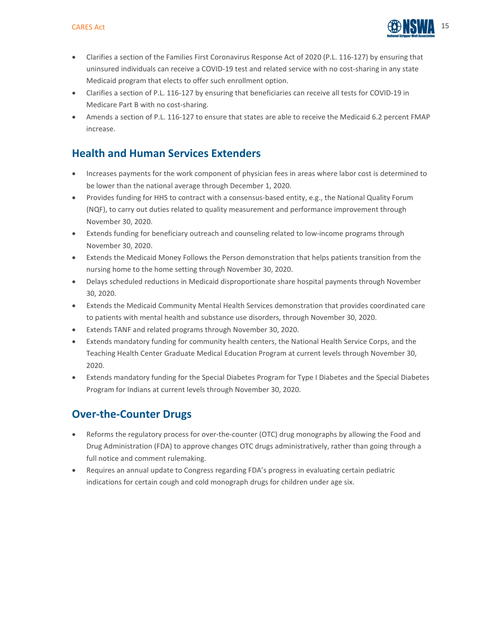

- Clarifies a section of the Families First Coronavirus Response Act of 2020 (P.L. 116-127) by ensuring that uninsured individuals can receive a COVID-19 test and related service with no cost-sharing in any state Medicaid program that elects to offer such enrollment option.
- Clarifies a section of P.L. 116-127 by ensuring that beneficiaries can receive all tests for COVID-19 in Medicare Part B with no cost-sharing.
- Amends a section of P.L. 116-127 to ensure that states are able to receive the Medicaid 6.2 percent FMAP increase.

## **Health and Human Services Extenders**

- Increases payments for the work component of physician fees in areas where labor cost is determined to be lower than the national average through December 1, 2020.
- Provides funding for HHS to contract with a consensus-based entity, e.g., the National Quality Forum (NQF), to carry out duties related to quality measurement and performance improvement through November 30, 2020.
- Extends funding for beneficiary outreach and counseling related to low-income programs through November 30, 2020.
- Extends the Medicaid Money Follows the Person demonstration that helps patients transition from the nursing home to the home setting through November 30, 2020.
- Delays scheduled reductions in Medicaid disproportionate share hospital payments through November 30, 2020.
- Extends the Medicaid Community Mental Health Services demonstration that provides coordinated care to patients with mental health and substance use disorders, through November 30, 2020.
- Extends TANF and related programs through November 30, 2020.
- Extends mandatory funding for community health centers, the National Health Service Corps, and the Teaching Health Center Graduate Medical Education Program at current levels through November 30, 2020.
- Extends mandatory funding for the Special Diabetes Program for Type I Diabetes and the Special Diabetes Program for Indians at current levels through November 30, 2020.

## **Over-the-Counter Drugs**

- Reforms the regulatory process for over-the-counter (OTC) drug monographs by allowing the Food and Drug Administration (FDA) to approve changes OTC drugs administratively, rather than going through a full notice and comment rulemaking.
- Requires an annual update to Congress regarding FDA's progress in evaluating certain pediatric indications for certain cough and cold monograph drugs for children under age six.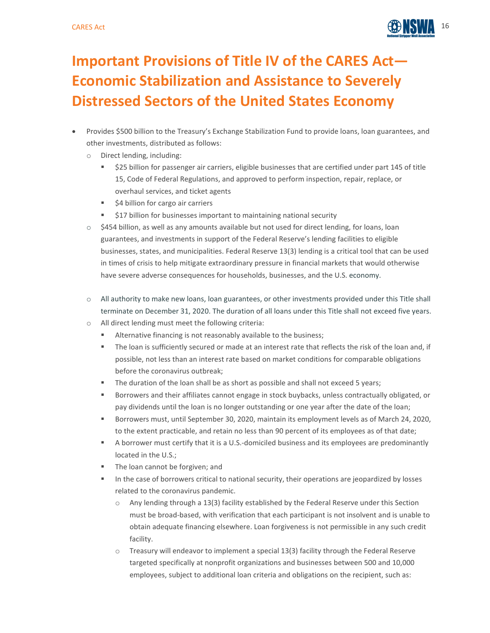

## **Important Provisions of Title IV of the CARES Act— Economic Stabilization and Assistance to Severely Distressed Sectors of the United States Economy**

- Provides \$500 billion to the Treasury's Exchange Stabilization Fund to provide loans, loan guarantees, and other investments, distributed as follows:
	- o Direct lending, including:
		- \$25 billion for passenger air carriers, eligible businesses that are certified under part 145 of title 15, Code of Federal Regulations, and approved to perform inspection, repair, replace, or overhaul services, and ticket agents
		- \$4 billion for cargo air carriers
		- **517 billion for businesses important to maintaining national security**
	- $\circ$  \$454 billion, as well as any amounts available but not used for direct lending, for loans, loan guarantees, and investments in support of the Federal Reserve's lending facilities to eligible businesses, states, and municipalities. Federal Reserve 13(3) lending is a critical tool that can be used in times of crisis to help mitigate extraordinary pressure in financial markets that would otherwise have severe adverse consequences for households, businesses, and the U.S. economy.
	- o All authority to make new loans, loan guarantees, or other investments provided under this Title shall terminate on December 31, 2020. The duration of all loans under this Title shall not exceed five years.
	- o All direct lending must meet the following criteria:
		- Alternative financing is not reasonably available to the business;
		- The loan is sufficiently secured or made at an interest rate that reflects the risk of the loan and, if possible, not less than an interest rate based on market conditions for comparable obligations before the coronavirus outbreak;
		- **The duration of the loan shall be as short as possible and shall not exceed 5 years;**
		- **Borrowers and their affiliates cannot engage in stock buybacks, unless contractually obligated, or** pay dividends until the loan is no longer outstanding or one year after the date of the loan;
		- Borrowers must, until September 30, 2020, maintain its employment levels as of March 24, 2020, to the extent practicable, and retain no less than 90 percent of its employees as of that date;
		- A borrower must certify that it is a U.S.-domiciled business and its employees are predominantly located in the U.S.;
		- The loan cannot be forgiven; and
		- In the case of borrowers critical to national security, their operations are jeopardized by losses related to the coronavirus pandemic.
			- o Any lending through a 13(3) facility established by the Federal Reserve under this Section must be broad-based, with verification that each participant is not insolvent and is unable to obtain adequate financing elsewhere. Loan forgiveness is not permissible in any such credit facility.
			- $\circ$  Treasury will endeavor to implement a special 13(3) facility through the Federal Reserve targeted specifically at nonprofit organizations and businesses between 500 and 10,000 employees, subject to additional loan criteria and obligations on the recipient, such as: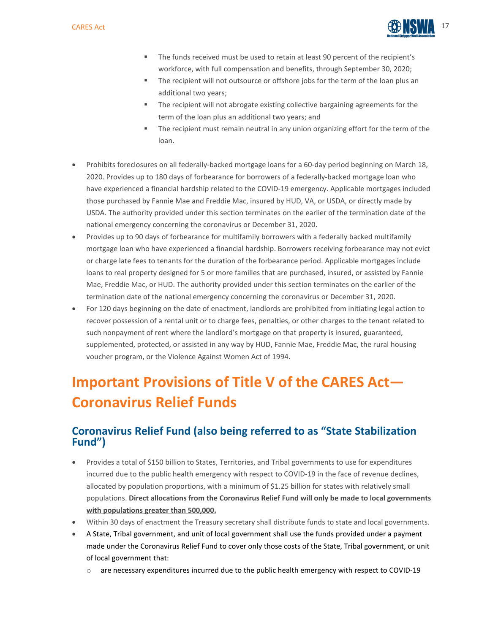

- The funds received must be used to retain at least 90 percent of the recipient's workforce, with full compensation and benefits, through September 30, 2020;
- The recipient will not outsource or offshore jobs for the term of the loan plus an additional two years;
- The recipient will not abrogate existing collective bargaining agreements for the term of the loan plus an additional two years; and
- The recipient must remain neutral in any union organizing effort for the term of the loan.
- Prohibits foreclosures on all federally-backed mortgage loans for a 60-day period beginning on March 18, 2020. Provides up to 180 days of forbearance for borrowers of a federally-backed mortgage loan who have experienced a financial hardship related to the COVID-19 emergency. Applicable mortgages included those purchased by Fannie Mae and Freddie Mac, insured by HUD, VA, or USDA, or directly made by USDA. The authority provided under this section terminates on the earlier of the termination date of the national emergency concerning the coronavirus or December 31, 2020.
- Provides up to 90 days of forbearance for multifamily borrowers with a federally backed multifamily mortgage loan who have experienced a financial hardship. Borrowers receiving forbearance may not evict or charge late fees to tenants for the duration of the forbearance period. Applicable mortgages include loans to real property designed for 5 or more families that are purchased, insured, or assisted by Fannie Mae, Freddie Mac, or HUD. The authority provided under this section terminates on the earlier of the termination date of the national emergency concerning the coronavirus or December 31, 2020.
- For 120 days beginning on the date of enactment, landlords are prohibited from initiating legal action to recover possession of a rental unit or to charge fees, penalties, or other charges to the tenant related to such nonpayment of rent where the landlord's mortgage on that property is insured, guaranteed, supplemented, protected, or assisted in any way by HUD, Fannie Mae, Freddie Mac, the rural housing voucher program, or the Violence Against Women Act of 1994.

## **Important Provisions of Title V of the CARES Act— Coronavirus Relief Funds**

## **Coronavirus Relief Fund (also being referred to as "State Stabilization Fund")**

- Provides a total of \$150 billion to States, Territories, and Tribal governments to use for expenditures incurred due to the public health emergency with respect to COVID-19 in the face of revenue declines, allocated by population proportions, with a minimum of \$1.25 billion for states with relatively small populations. **Direct allocations from the Coronavirus Relief Fund will only be made to local governments with populations greater than 500,000.**
- Within 30 days of enactment the Treasury secretary shall distribute funds to state and local governments.
- A State, Tribal government, and unit of local government shall use the funds provided under a payment made under the Coronavirus Relief Fund to cover only those costs of the State, Tribal government, or unit of local government that:
	- $\circ$  are necessary expenditures incurred due to the public health emergency with respect to COVID-19